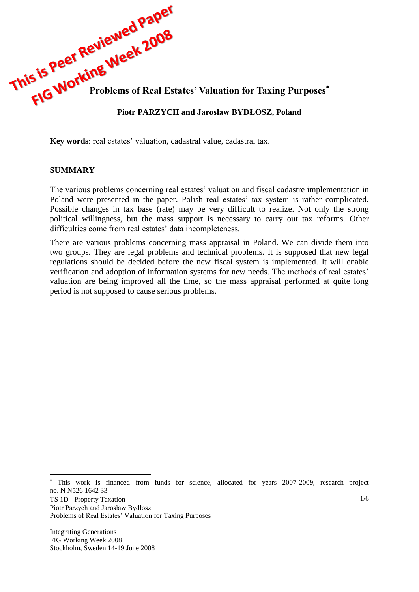

**Key words**: real estates' valuation, cadastral value, cadastral tax.

#### **SUMMARY**

The various problems concerning real estates' valuation and fiscal cadastre implementation in Poland were presented in the paper. Polish real estates' tax system is rather complicated. Possible changes in tax base (rate) may be very difficult to realize. Not only the strong political willingness, but the mass support is necessary to carry out tax reforms. Other difficulties come from real estates' data incompleteness.

There are various problems concerning mass appraisal in Poland. We can divide them into two groups. They are legal problems and technical problems. It is supposed that new legal regulations should be decided before the new fiscal system is implemented. It will enable verification and adoption of information systems for new needs. The methods of real estates' valuation are being improved all the time, so the mass appraisal performed at quite long period is not supposed to cause serious problems.

TS 1D - Property Taxation Piotr Parzych and Jarosław Bydłosz Problems of Real Estates' Valuation for Taxing Purposes

Integrating Generations FIG Working Week 2008 Stockholm, Sweden 14-19 June 2008

 $\overline{a}$ 

This work is financed from funds for science, allocated for years 2007-2009, research project no. N N526 1642 33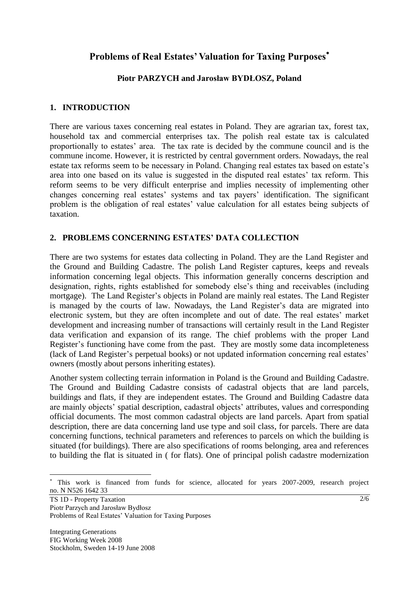# **Problems of Real Estates' Valuation for Taxing Purposes**

#### **Piotr PARZYCH and Jarosław BYDŁOSZ, Poland**

## **1. INTRODUCTION**

There are various taxes concerning real estates in Poland. They are agrarian tax, forest tax, household tax and commercial enterprises tax. The polish real estate tax is calculated proportionally to estates' area. The tax rate is decided by the commune council and is the commune income. However, it is restricted by central government orders. Nowadays, the real estate tax reforms seem to be necessary in Poland. Changing real estates tax based on estate's area into one based on its value is suggested in the disputed real estates' tax reform. This reform seems to be very difficult enterprise and implies necessity of implementing other changes concerning real estates' systems and tax payers' identification. The significant problem is the obligation of real estates' value calculation for all estates being subjects of taxation.

## **2. PROBLEMS CONCERNING ESTATES' DATA COLLECTION**

There are two systems for estates data collecting in Poland. They are the Land Register and the Ground and Building Cadastre. The polish Land Register captures, keeps and reveals information concerning legal objects. This information generally concerns description and designation, rights, rights established for somebody else's thing and receivables (including mortgage). The Land Register's objects in Poland are mainly real estates. The Land Register is managed by the courts of law. Nowadays, the Land Register's data are migrated into electronic system, but they are often incomplete and out of date. The real estates' market development and increasing number of transactions will certainly result in the Land Register data verification and expansion of its range. The chief problems with the proper Land Register's functioning have come from the past. They are mostly some data incompleteness (lack of Land Register's perpetual books) or not updated information concerning real estates' owners (mostly about persons inheriting estates).

Another system collecting terrain information in Poland is the Ground and Building Cadastre. The Ground and Building Cadastre consists of cadastral objects that are land parcels, buildings and flats, if they are independent estates. The Ground and Building Cadastre data are mainly objects' spatial description, cadastral objects' attributes, values and corresponding official documents. The most common cadastral objects are land parcels. Apart from spatial description, there are data concerning land use type and soil class, for parcels. There are data concerning functions, technical parameters and references to parcels on which the building is situated (for buildings). There are also specifications of rooms belonging, area and references to building the flat is situated in ( for flats). One of principal polish cadastre modernization

 $\overline{a}$ 

This work is financed from funds for science, allocated for years 2007-2009, research project no. N N526 1642 33

TS 1D - Property Taxation Piotr Parzych and Jarosław Bydłosz Problems of Real Estates' Valuation for Taxing Purposes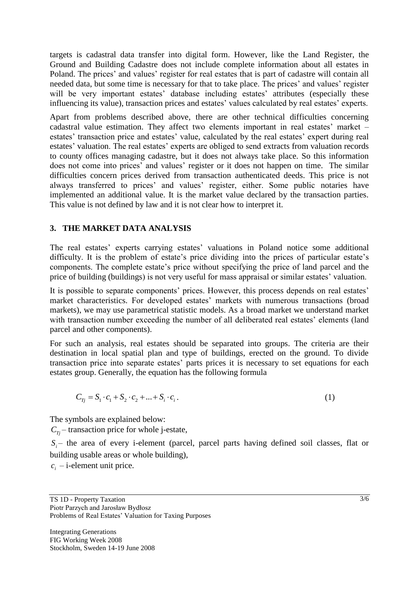targets is cadastral data transfer into digital form. However, like the Land Register, the Ground and Building Cadastre does not include complete information about all estates in Poland. The prices' and values' register for real estates that is part of cadastre will contain all needed data, but some time is necessary for that to take place. The prices' and values' register will be very important estates' database including estates' attributes (especially these influencing its value), transaction prices and estates' values calculated by real estates' experts.

Apart from problems described above, there are other technical difficulties concerning cadastral value estimation. They affect two elements important in real estates' market – estates' transaction price and estates' value, calculated by the real estates' expert during real estates' valuation. The real estates' experts are obliged to send extracts from valuation records to county offices managing cadastre, but it does not always take place. So this information does not come into prices' and values' register or it does not happen on time. The similar difficulties concern prices derived from transaction authenticated deeds. This price is not always transferred to prices' and values' register, either. Some public notaries have implemented an additional value. It is the market value declared by the transaction parties. This value is not defined by law and it is not clear how to interpret it.

## **3. THE MARKET DATA ANALYSIS**

The real estates' experts carrying estates' valuations in Poland notice some additional difficulty. It is the problem of estate's price dividing into the prices of particular estate's components. The complete estate's price without specifying the price of land parcel and the price of building (buildings) is not very useful for mass appraisal or similar estates' valuation.

It is possible to separate components' prices. However, this process depends on real estates' market characteristics. For developed estates' markets with numerous transactions (broad markets), we may use parametrical statistic models. As a broad market we understand market with transaction number exceeding the number of all deliberated real estates' elements (land parcel and other components).

For such an analysis, real estates should be separated into groups. The criteria are their destination in local spatial plan and type of buildings, erected on the ground. To divide transaction price into separate estates' parts prices it is necessary to set equations for each estates group. Generally, the equation has the following formula

$$
C_{Tj} = S_1 \cdot c_1 + S_2 \cdot c_2 + \dots + S_i \cdot c_i.
$$
 (1)

The symbols are explained below:

 $C_{Tj}$  – transaction price for whole j-estate,

 $S_i$  – the area of every i-element (parcel, parcel parts having defined soil classes, flat or building usable areas or whole building),

 $c_i$  – i-element unit price.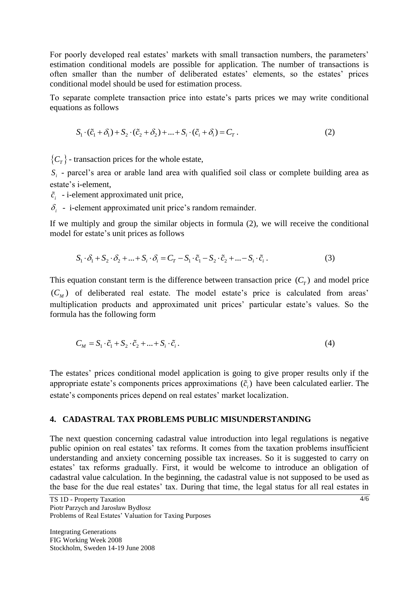For poorly developed real estates' markets with small transaction numbers, the parameters' estimation conditional models are possible for application. The number of transactions is often smaller than the number of deliberated estates' elements, so the estates' prices conditional model should be used for estimation process.

To separate complete transaction price into estate's parts prices we may write conditional equations as follows

$$
S_1 \cdot (\tilde{c}_1 + \delta_1) + S_2 \cdot (\tilde{c}_2 + \delta_2) + \dots + S_i \cdot (\tilde{c}_i + \delta_i) = C_T.
$$
 (2)

 ${C<sub>T</sub>}$  - transaction prices for the whole estate,

 $S_i$  - parcel's area or arable land area with qualified soil class or complete building area as estate's i-element,

 $\tilde{c}_i$  - i-element approximated unit price,

 $\delta_i$  - i-element approximated unit price's random remainder.

If we multiply and group the similar objects in formula (2), we will receive the conditional model for estate's unit prices as follows

$$
S_1 \cdot \delta_1 + S_2 \cdot \delta_2 + \dots + S_i \cdot \delta_i = C_T - S_1 \cdot \tilde{c}_1 - S_2 \cdot \tilde{c}_2 + \dots - S_i \cdot \tilde{c}_i.
$$
 (3)

This equation constant term is the difference between transaction price  $(C_T)$  and model price  $(C_M)$  of deliberated real estate. The model estate's price is calculated from areas' multiplication products and approximated unit prices' particular estate's values. So the formula has the following form

$$
C_M = S_1 \cdot \tilde{c}_1 + S_2 \cdot \tilde{c}_2 + \dots + S_i \cdot \tilde{c}_i.
$$
\n<sup>(4)</sup>

The estates' prices conditional model application is going to give proper results only if the appropriate estate's components prices approximations  $(\tilde{c}_i)$  have been calculated earlier. The estate's components prices depend on real estates' market localization.

#### **4. CADASTRAL TAX PROBLEMS PUBLIC MISUNDERSTANDING**

The next question concerning cadastral value introduction into legal regulations is negative public opinion on real estates' tax reforms. It comes from the taxation problems insufficient understanding and anxiety concerning possible tax increases. So it is suggested to carry on estates' tax reforms gradually. First, it would be welcome to introduce an obligation of cadastral value calculation. In the beginning, the cadastral value is not supposed to be used as the base for the due real estates' tax. During that time, the legal status for all real estates in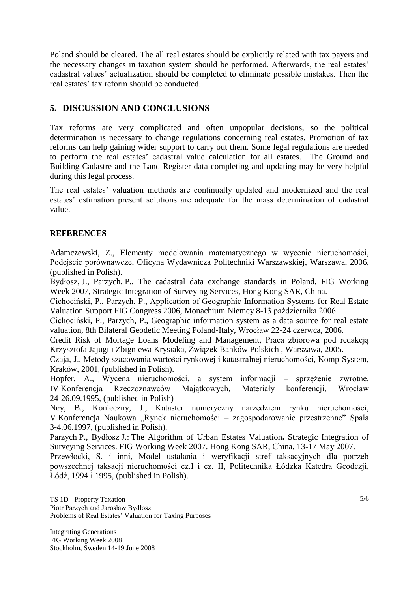Poland should be cleared. The all real estates should be explicitly related with tax payers and the necessary changes in taxation system should be performed. Afterwards, the real estates' cadastral values' actualization should be completed to eliminate possible mistakes. Then the real estates' tax reform should be conducted.

# **5. DISCUSSION AND CONCLUSIONS**

Tax reforms are very complicated and often unpopular decisions, so the political determination is necessary to change regulations concerning real estates. Promotion of tax reforms can help gaining wider support to carry out them. Some legal regulations are needed to perform the real estates' cadastral value calculation for all estates. The Ground and Building Cadastre and the Land Register data completing and updating may be very helpful during this legal process.

The real estates' valuation methods are continually updated and modernized and the real estates' estimation present solutions are adequate for the mass determination of cadastral value.

## **REFERENCES**

Adamczewski, Z., Elementy modelowania matematycznego w wycenie nieruchomości, Podejście porównawcze, Oficyna Wydawnicza Politechniki Warszawskiej, Warszawa, 2006, (published in Polish).

Bydłosz, J., Parzych, P., The cadastral data exchange standards in Poland, FIG Working Week 2007, Strategic Integration of Surveying Services, Hong Kong SAR, China.

Cichociński, P., Parzych, P., Application of Geographic Information Systems for Real Estate Valuation Support FIG Congress 2006, Monachium Niemcy 8-13 października 2006.

Cichociński, P., Parzych, P., Geographic information system as a data source for real estate valuation, 8th Bilateral Geodetic Meeting Poland-Italy, Wrocław 22-24 czerwca, 2006.

Credit Risk of Mortage Loans Modeling and Management, Praca zbiorowa pod redakcją Krzysztofa Jajugi i Zbigniewa Krysiaka, Związek Banków Polskich , Warszawa, 2005.

Czaja, J., Metody szacowania wartości rynkowej i katastralnej nieruchomości, Komp-System, Kraków, 2001, (published in Polish).

Hopfer, A., Wycena nieruchomości, a system informacji – sprzężenie zwrotne, IV Konferencja Rzeczoznawców Majątkowych, Materiały konferencji, Wrocław 24-26.09.1995, (published in Polish)

Ney, B., Konieczny, J., Kataster numeryczny narzędziem rynku nieruchomości, V Konferencja Naukowa "Rynek nieruchomości – zagospodarowanie przestrzenne" Spała 3-4.06.1997, (published in Polish).

Parzych P., Bydłosz J.: The Algorithm of Urban Estates Valuation**.** Strategic Integration of Surveying Services. FIG Working Week 2007. Hong Kong SAR, China, 13-17 May 2007.

Przewłocki, S. i inni, Model ustalania i weryfikacji stref taksacyjnych dla potrzeb powszechnej taksacji nieruchomości cz.I i cz. II, Politechnika Łódzka Katedra Geodezji, Łódź, 1994 i 1995, (published in Polish).